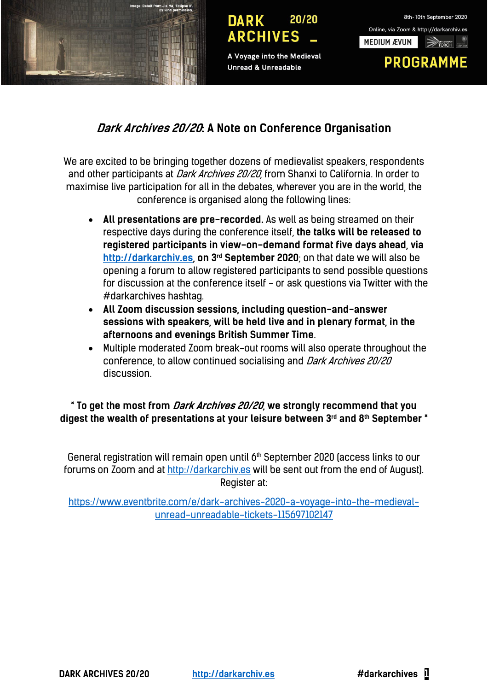

A Voyage into the Medieval **Unread & Unreadable** 



# **Dark Archives 20/20: A Note on Conference Organisation**

We are excited to be bringing together dozens of medievalist speakers, respondents and other participants at *Dark Archives 20/20*, from Shanxi to California. In order to maximise live participation for all in the debates, wherever you are in the world, the conference is organised along the following lines:

- **All presentations are pre-recorded.** As well as being streamed on their respective days during the conference itself, **the talks will be released to registered participants in view-on-demand format five days ahead, via http://darkarchiv.es, on 3rd September 2020**; on that date we will also be opening a forum to allow registered participants to send possible questions for discussion at the conference itself - or ask questions via Twitter with the #darkarchives hashtag.
- **All Zoom discussion sessions, including question-and-answer sessions with speakers, will be held live and in plenary format, in the afternoons and evenings British Summer Time**.
- Multiple moderated Zoom break-out rooms will also operate throughout the conference, to allow continued socialising and Dark Archives 20/20 discussion.

**\* To get the most from Dark Archives 20/20, we strongly recommend that you digest the wealth of presentations at your leisure between 3rd and 8th September \*** 

General registration will remain open until 6<sup>th</sup> September 2020 (access links to our forums on Zoom and at http://darkarchiv.es will be sent out from the end of August). Register at:

https://www.eventbrite.com/e/dark-archives-2020-a-voyage-into-the-medievalunread-unreadable-tickets-115697102147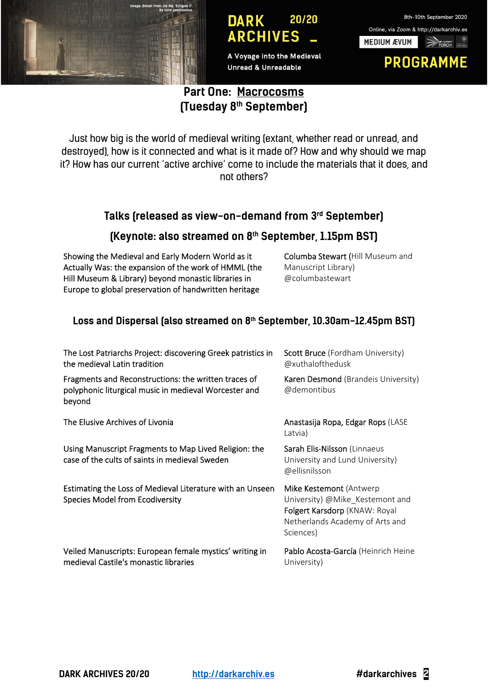

A Voyage into the Medieval **Unread & Unreadable** 

## 8th-10th September 2020 Online, via Zoom & http://darkarchiv.es **MEDIUM ÆVUM PROGRAMME**

## **Part One: Macrocosms (Tuesday 8th September)**

Just how big is the world of medieval writing (extant, whether read or unread, and destroyed), how is it connected and what is it made of? How and why should we map it? How has our current 'active archive' come to include the materials that it does, and not others?

### **Talks (released as view-on-demand from 3rd September)**

#### **(Keynote: also streamed on 8th September, 1.15pm BST)**

Showing the Medieval and Early Modern World as it Actually Was: the expansion of the work of HMML (the Hill Museum & Library) beyond monastic libraries in Europe to global preservation of handwritten heritage

Columba Stewart (Hill Museum and Manuscript Library) @columbastewart

#### Loss and Dispersal (also streamed on 8<sup>th</sup> September, 10.30am-12.45pm BST)

| The Lost Patriarchs Project: discovering Greek patristics in<br>the medieval Latin tradition                            | Scott Bruce (Fordham University)<br>@xuthalofthedusk                                                                                        |
|-------------------------------------------------------------------------------------------------------------------------|---------------------------------------------------------------------------------------------------------------------------------------------|
| Fragments and Reconstructions: the written traces of<br>polyphonic liturgical music in medieval Worcester and<br>beyond | <b>Karen Desmond</b> (Brandeis University)<br>@demontibus                                                                                   |
| The Elusive Archives of Livonia                                                                                         | Anastasija Ropa, Edgar Rops (LASE<br>Latvia)                                                                                                |
| Using Manuscript Fragments to Map Lived Religion: the<br>case of the cults of saints in medieval Sweden                 | Sarah Elis-Nilsson (Linnaeus<br>University and Lund University)<br>@ellisnilsson                                                            |
| Estimating the Loss of Medieval Literature with an Unseen<br><b>Species Model from Ecodiversity</b>                     | Mike Kestemont (Antwerp<br>University) @Mike_Kestemont and<br>Folgert Karsdorp (KNAW: Royal<br>Netherlands Academy of Arts and<br>Sciences) |
| Veiled Manuscripts: European female mystics' writing in<br>medieval Castile's monastic libraries                        | Pablo Acosta-García (Heinrich Heine<br>University)                                                                                          |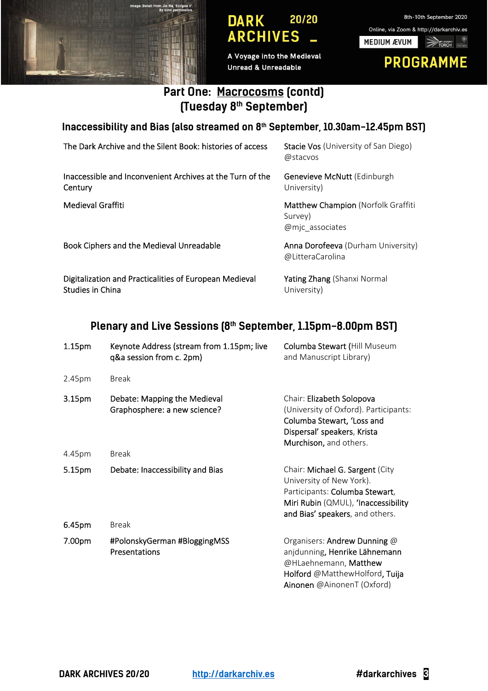

A Voyage into the Medieval **Unread & Unreadable** 



# **Part One: Macrocosms (contd) (Tuesday 8th September)**

**Inaccessibility and Bias (also streamed on 8th September, 10.30am-12.45pm BST)** 

| The Dark Archive and the Silent Book: histories of access                         | <b>Stacie Vos</b> (University of San Diego)<br>@stacyos                 |
|-----------------------------------------------------------------------------------|-------------------------------------------------------------------------|
| Inaccessible and Inconvenient Archives at the Turn of the<br>Century              | Genevieve McNutt (Edinburgh<br>University)                              |
| Medieval Graffiti                                                                 | <b>Matthew Champion (Norfolk Graffiti</b><br>Survey)<br>@mjc associates |
| Book Ciphers and the Medieval Unreadable                                          | <b>Anna Dorofeeva</b> (Durham University)<br>@LitteraCarolina           |
| Digitalization and Practicalities of European Medieval<br><b>Studies in China</b> | <b>Yating Zhang</b> (Shanxi Normal<br>University)                       |

# **Plenary and Live Sessions (8th September, 1.15pm-8.00pm BST)**

| 1.15 <sub>pm</sub> | Keynote Address (stream from 1.15pm; live<br>q&a session from c. 2pm) | Columba Stewart (Hill Museum<br>and Manuscript Library)                                                                                                                 |
|--------------------|-----------------------------------------------------------------------|-------------------------------------------------------------------------------------------------------------------------------------------------------------------------|
| 2.45pm             | Break                                                                 |                                                                                                                                                                         |
| 3.15pm             | Debate: Mapping the Medieval<br>Graphosphere: a new science?          | Chair: Elizabeth Solopova<br>(University of Oxford). Participants:<br>Columba Stewart, 'Loss and<br>Dispersal' speakers, Krista<br>Murchison, and others.               |
| 4.45pm             | <b>Break</b>                                                          |                                                                                                                                                                         |
| 5.15pm             | Debate: Inaccessibility and Bias                                      | Chair: Michael G. Sargent (City<br>University of New York).<br>Participants: Columba Stewart,<br>Miri Rubin (QMUL), 'Inaccessibility<br>and Bias' speakers, and others. |
| 6.45pm             | <b>Break</b>                                                          |                                                                                                                                                                         |
| 7.00pm             | #PolonskyGerman #BloggingMSS<br>Presentations                         | Organisers: Andrew Dunning @<br>anjdunning, Henrike Lähnemann<br>@HLaehnemann, Matthew<br>Holford @MatthewHolford, Tuija<br>Ainonen @AinonenT (Oxford)                  |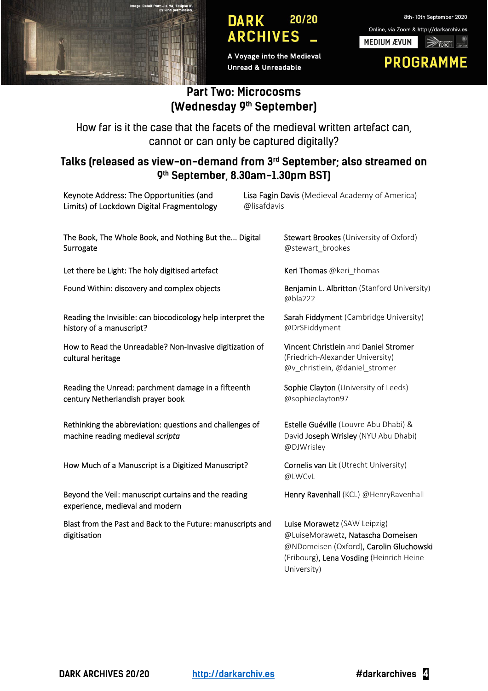

A Voyage into the Medieval **Unread & Unreadable** 



### **Part Two: Microcosms (Wednesday 9th September)**

How far is it the case that the facets of the medieval written artefact can, cannot or can only be captured digitally?

#### **Talks (released as view-on-demand from 3rd September; also streamed on 9th September, 8.30am-1.30pm BST)**

| Keynote Address: The Opportunities (and<br>Limits) of Lockdown Digital Fragmentology         | Lisa Fagin Davis (Medieval Academy of America)<br>@lisafdavis                                                                                                           |
|----------------------------------------------------------------------------------------------|-------------------------------------------------------------------------------------------------------------------------------------------------------------------------|
| The Book, The Whole Book, and Nothing But the Digital<br>Surrogate                           | Stewart Brookes (University of Oxford)<br>@stewart_brookes                                                                                                              |
| Let there be Light: The holy digitised artefact                                              | Keri Thomas @keri_thomas                                                                                                                                                |
| Found Within: discovery and complex objects                                                  | Benjamin L. Albritton (Stanford University)<br>@bla222                                                                                                                  |
| Reading the Invisible: can biocodicology help interpret the<br>history of a manuscript?      | Sarah Fiddyment (Cambridge University)<br>@DrSFiddyment                                                                                                                 |
| How to Read the Unreadable? Non-Invasive digitization of<br>cultural heritage                | Vincent Christlein and Daniel Stromer<br>(Friedrich-Alexander University)<br>@v_christlein, @daniel_stromer                                                             |
| Reading the Unread: parchment damage in a fifteenth<br>century Netherlandish prayer book     | Sophie Clayton (University of Leeds)<br>@sophieclayton97                                                                                                                |
| Rethinking the abbreviation: questions and challenges of<br>machine reading medieval scripta | Estelle Guéville (Louvre Abu Dhabi) &<br>David Joseph Wrisley (NYU Abu Dhabi)<br>@DJWrisley                                                                             |
| How Much of a Manuscript is a Digitized Manuscript?                                          | Cornelis van Lit (Utrecht University)<br>@LWCvL                                                                                                                         |
| Beyond the Veil: manuscript curtains and the reading<br>experience, medieval and modern      | Henry Ravenhall (KCL) @HenryRavenhall                                                                                                                                   |
| Blast from the Past and Back to the Future: manuscripts and<br>digitisation                  | Luise Morawetz (SAW Leipzig)<br>@LuiseMorawetz, Natascha Domeisen<br>@NDomeisen (Oxford), Carolin Gluchowski<br>(Fribourg), Lena Vosding (Heinrich Heine<br>University) |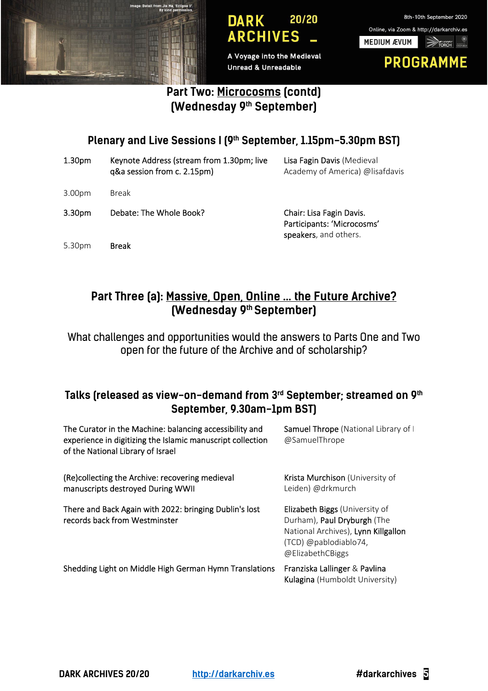

A Voyage into the Medieval **Unread & Unreadable** 



## **Part Two: Microcosms (contd) (Wednesday 9th September)**

# Plenary and Live Sessions I (9<sup>th</sup> September, 1.15pm-5.30pm BST)

| 1.30 <sub>pm</sub> | Keynote Address (stream from 1.30pm; live<br>q&a session from c. 2.15pm) | Lisa Fagin Davis (Medieval<br>Academy of America) @lisafdavis                   |
|--------------------|--------------------------------------------------------------------------|---------------------------------------------------------------------------------|
| 3.00 <sub>pm</sub> | Break                                                                    |                                                                                 |
| 3.30 <sub>pm</sub> | Debate: The Whole Book?                                                  | Chair: Lisa Fagin Davis.<br>Participants: 'Microcosms'<br>speakers, and others. |
| 5.30pm             | <b>Break</b>                                                             |                                                                                 |

# **Part Three (a): Massive, Open, Online … the Future Archive? (Wednesday 9th September)**

What challenges and opportunities would the answers to Parts One and Two open for the future of the Archive and of scholarship?

### **Talks (released as view-on-demand from 3rd September; streamed on 9th September, 9.30am-1pm BST)**

| The Curator in the Machine: balancing accessibility and<br>experience in digitizing the Islamic manuscript collection<br>of the National Library of Israel | Samuel Thrope (National Library of I<br>@SamuelThrope                                                                                             |
|------------------------------------------------------------------------------------------------------------------------------------------------------------|---------------------------------------------------------------------------------------------------------------------------------------------------|
| (Re)collecting the Archive: recovering medieval<br>manuscripts destroyed During WWII                                                                       | Krista Murchison (University of<br>Leiden) @drkmurch                                                                                              |
| There and Back Again with 2022: bringing Dublin's lost<br>records back from Westminster                                                                    | Elizabeth Biggs (University of<br>Durham), Paul Dryburgh (The<br>National Archives), Lynn Killgallon<br>(TCD) @pablodiablo74,<br>@ElizabethCBiggs |
| Shedding Light on Middle High German Hymn Translations                                                                                                     | Franziska Lallinger & Pavlina<br>Kulagina (Humboldt University)                                                                                   |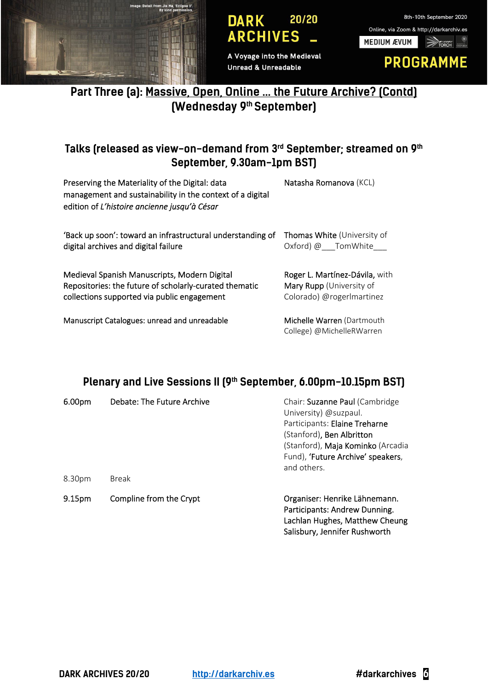

A Voyage into the Medieval **Unread & Unreadable** 



# **Part Three (a): Massive, Open, Online … the Future Archive? (Contd) (Wednesday 9th September)**

### **Talks (released as view-on-demand from 3rd September; streamed on 9th September, 9.30am-1pm BST)**

| Preserving the Materiality of the Digital: data<br>management and sustainability in the context of a digital<br>edition of L'histoire ancienne jusqu'à César | Natasha Romanova (KCL)             |
|--------------------------------------------------------------------------------------------------------------------------------------------------------------|------------------------------------|
| 'Back up soon': toward an infrastructural understanding of                                                                                                   | <b>Thomas White (University of</b> |
| digital archives and digital failure                                                                                                                         | Oxford) @ TomWhite                 |
| Medieval Spanish Manuscripts, Modern Digital                                                                                                                 | Roger L. Martínez-Dávila, with     |
| Repositories: the future of scholarly-curated thematic                                                                                                       | Mary Rupp (University of           |
| collections supported via public engagement                                                                                                                  | Colorado) @rogerlmartinez          |
| Manuscript Catalogues: unread and unreadable                                                                                                                 | Michelle Warren (Dartmouth         |

#### Plenary and Live Sessions II (9<sup>th</sup> September, 6.00pm-10.15pm BST)

College) @MichelleRWarren

| 6.00pm | Debate: The Future Archive | Chair: Suzanne Paul (Cambridge<br>University) @suzpaul.<br>Participants: Elaine Treharne<br>(Stanford), Ben Albritton<br>(Stanford), Maja Kominko (Arcadia<br>Fund), 'Future Archive' speakers,<br>and others. |
|--------|----------------------------|----------------------------------------------------------------------------------------------------------------------------------------------------------------------------------------------------------------|
| 8.30pm | <b>Break</b>               |                                                                                                                                                                                                                |
| 9.15pm | Compline from the Crypt    | Organiser: Henrike Lähnemann.<br>Participants: Andrew Dunning.<br>Lachlan Hughes, Matthew Cheung<br>Salisbury, Jennifer Rushworth                                                                              |